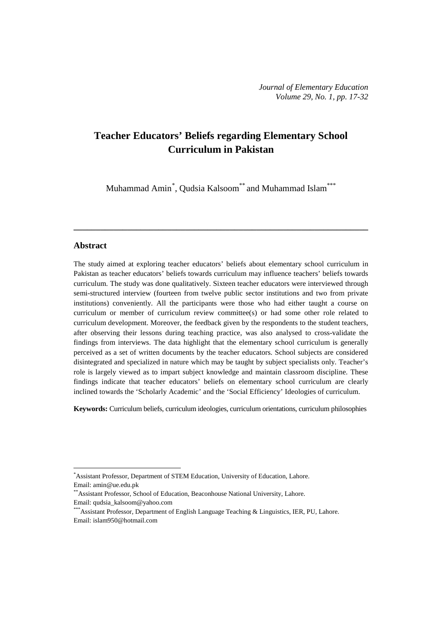# **Teacher Educators' Beliefs regarding Elementary School Curriculum in Pakistan**

Muhammad Amin<sup>[\\*](#page-0-0)</sup>, Qudsia Kalsoom<sup>\*\*</sup> and Muhammad Islam<sup>\*\*\*</sup>

**\_\_\_\_\_\_\_\_\_\_\_\_\_\_\_\_\_\_\_\_\_\_\_\_\_\_\_\_\_\_\_\_\_\_\_\_\_\_\_\_\_\_\_\_\_\_\_\_\_\_\_\_\_\_\_\_\_\_\_\_\_\_\_\_\_\_**

### **Abstract**

 $\overline{a}$ 

The study aimed at exploring teacher educators' beliefs about elementary school curriculum in Pakistan as teacher educators' beliefs towards curriculum may influence teachers' beliefs towards curriculum. The study was done qualitatively. Sixteen teacher educators were interviewed through semi-structured interview (fourteen from twelve public sector institutions and two from private institutions) conveniently. All the participants were those who had either taught a course on curriculum or member of curriculum review committee(s) or had some other role related to curriculum development. Moreover, the feedback given by the respondents to the student teachers, after observing their lessons during teaching practice, was also analysed to cross-validate the findings from interviews. The data highlight that the elementary school curriculum is generally perceived as a set of written documents by the teacher educators. School subjects are considered disintegrated and specialized in nature which may be taught by subject specialists only. Teacher's role is largely viewed as to impart subject knowledge and maintain classroom discipline. These findings indicate that teacher educators' beliefs on elementary school curriculum are clearly inclined towards the 'Scholarly Academic' and the 'Social Efficiency' Ideologies of curriculum.

**Keywords:** Curriculum beliefs, curriculum ideologies, curriculum orientations, curriculum philosophies

<span id="page-0-0"></span><sup>\*</sup> Assistant Professor, Department of STEM Education, University of Education, Lahore. Email: [amin@ue.edu.pk](mailto:amin@ue.edu.pk)

<sup>\*\*</sup>Assistant Professor, School of Education, Beaconhouse National University, Lahore. Email: [qudsia\\_kalsoom@yahoo.com](mailto:qudsia_kalsoom@yahoo.com)

<sup>\*\*\*</sup>Assistant Professor, Department of English Language Teaching & Linguistics, IER, PU, Lahore. Email: [islam950@hotmail.com](mailto:islam950@hotmail.com)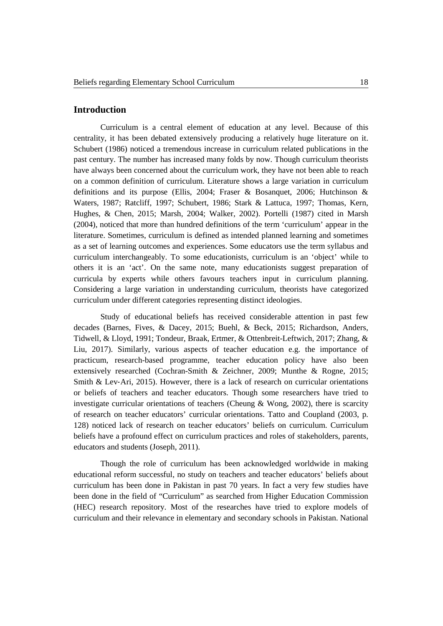# **Introduction**

Curriculum is a central element of education at any level. Because of this centrality, it has been debated extensively producing a relatively huge literature on it. Schubert (1986) noticed a tremendous increase in curriculum related publications in the past century. The number has increased many folds by now. Though curriculum theorists have always been concerned about the curriculum work, they have not been able to reach on a common definition of curriculum. Literature shows a large variation in curriculum definitions and its purpose (Ellis, 2004; Fraser & Bosanquet, 2006; Hutchinson & Waters, 1987; Ratcliff, 1997; Schubert, 1986; Stark & Lattuca, 1997; Thomas, Kern, Hughes, & Chen, 2015; Marsh, 2004; Walker, 2002). Portelli (1987) cited in Marsh (2004), noticed that more than hundred definitions of the term 'curriculum' appear in the literature. Sometimes, curriculum is defined as intended planned learning and sometimes as a set of learning outcomes and experiences. Some educators use the term syllabus and curriculum interchangeably. To some educationists, curriculum is an 'object' while to others it is an 'act'. On the same note, many educationists suggest preparation of curricula by experts while others favours teachers input in curriculum planning. Considering a large variation in understanding curriculum, theorists have categorized curriculum under different categories representing distinct ideologies.

Study of educational beliefs has received considerable attention in past few decades (Barnes, Fives, & Dacey, 2015; Buehl, & Beck, 2015; Richardson, Anders, Tidwell, & Lloyd, 1991; Tondeur, Braak, Ertmer, & Ottenbreit-Leftwich, 2017; Zhang, & Liu, 2017). Similarly, various aspects of teacher education e.g. the importance of practicum, research-based programme, teacher education policy have also been extensively researched (Cochran-Smith & Zeichner, 2009; Munthe & Rogne, 2015; Smith & Lev-Ari, 2015). However, there is a lack of research on curricular orientations or beliefs of teachers and teacher educators. Though some researchers have tried to investigate curricular orientations of teachers (Cheung & Wong, 2002), there is scarcity of research on teacher educators' curricular orientations. Tatto and Coupland (2003, p. 128) noticed lack of research on teacher educators' beliefs on curriculum. Curriculum beliefs have a profound effect on curriculum practices and roles of stakeholders, parents, educators and students (Joseph, 2011).

Though the role of curriculum has been acknowledged worldwide in making educational reform successful, no study on teachers and teacher educators' beliefs about curriculum has been done in Pakistan in past 70 years. In fact a very few studies have been done in the field of "Curriculum" as searched from Higher Education Commission (HEC) research repository. Most of the researches have tried to explore models of curriculum and their relevance in elementary and secondary schools in Pakistan. National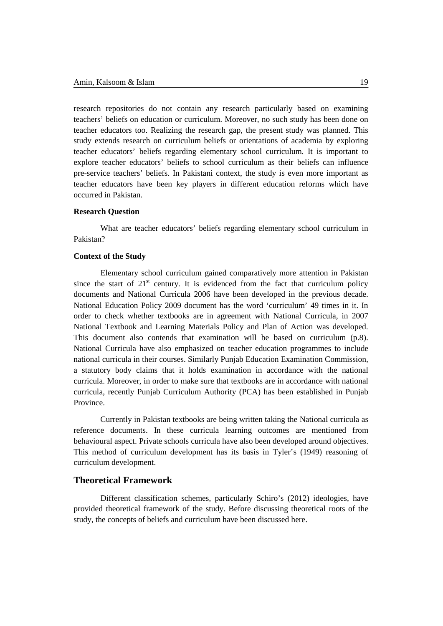research repositories do not contain any research particularly based on examining teachers' beliefs on education or curriculum. Moreover, no such study has been done on teacher educators too. Realizing the research gap, the present study was planned. This study extends research on curriculum beliefs or orientations of academia by exploring teacher educators' beliefs regarding elementary school curriculum. It is important to explore teacher educators' beliefs to school curriculum as their beliefs can influence pre-service teachers' beliefs. In Pakistani context, the study is even more important as teacher educators have been key players in different education reforms which have occurred in Pakistan.

# **Research Question**

What are teacher educators' beliefs regarding elementary school curriculum in Pakistan?

## **Context of the Study**

Elementary school curriculum gained comparatively more attention in Pakistan since the start of  $21<sup>st</sup>$  century. It is evidenced from the fact that curriculum policy documents and National Curricula 2006 have been developed in the previous decade. National Education Policy 2009 document has the word 'curriculum' 49 times in it. In order to check whether textbooks are in agreement with National Curricula, in 2007 National Textbook and Learning Materials Policy and Plan of Action was developed. This document also contends that examination will be based on curriculum (p.8). National Curricula have also emphasized on teacher education programmes to include national curricula in their courses. Similarly Punjab Education Examination Commission, a statutory body claims that it holds examination in accordance with the national curricula. Moreover, in order to make sure that textbooks are in accordance with national curricula, recently Punjab Curriculum Authority (PCA) has been established in Punjab Province.

Currently in Pakistan textbooks are being written taking the National curricula as reference documents. In these curricula learning outcomes are mentioned from behavioural aspect. Private schools curricula have also been developed around objectives. This method of curriculum development has its basis in Tyler's (1949) reasoning of curriculum development.

# **Theoretical Framework**

Different classification schemes, particularly Schiro's (2012) ideologies, have provided theoretical framework of the study. Before discussing theoretical roots of the study, the concepts of beliefs and curriculum have been discussed here.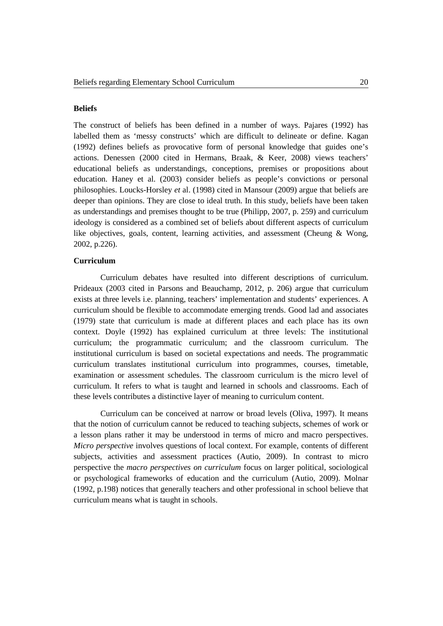#### **Beliefs**

The construct of beliefs has been defined in a number of ways. Pajares (1992) has labelled them as 'messy constructs' which are difficult to delineate or define. Kagan (1992) defines beliefs as provocative form of personal knowledge that guides one's actions. Denessen (2000 cited in Hermans, Braak, & Keer, 2008) views teachers' educational beliefs as understandings, conceptions, premises or propositions about education. Haney et al. (2003) consider beliefs as people's convictions or personal philosophies. Loucks-Horsley *et* al. (1998) cited in Mansour (2009) argue that beliefs are deeper than opinions. They are close to ideal truth. In this study, beliefs have been taken as understandings and premises thought to be true (Philipp, 2007, p. 259) and curriculum ideology is considered as a combined set of beliefs about different aspects of curriculum like objectives, goals, content, learning activities, and assessment (Cheung & Wong, 2002, p.226).

## **Curriculum**

Curriculum debates have resulted into different descriptions of curriculum. Prideaux (2003 cited in Parsons and Beauchamp, 2012, p. 206) argue that curriculum exists at three levels i.e. planning, teachers' implementation and students' experiences. A curriculum should be flexible to accommodate emerging trends. Good lad and associates (1979) state that curriculum is made at different places and each place has its own context. Doyle (1992) has explained curriculum at three levels: The institutional curriculum; the programmatic curriculum; and the classroom curriculum. The institutional curriculum is based on societal expectations and needs. The programmatic curriculum translates institutional curriculum into programmes, courses, timetable, examination or assessment schedules. The classroom curriculum is the micro level of curriculum. It refers to what is taught and learned in schools and classrooms. Each of these levels contributes a distinctive layer of meaning to curriculum content.

Curriculum can be conceived at narrow or broad levels (Oliva, 1997). It means that the notion of curriculum cannot be reduced to teaching subjects, schemes of work or a lesson plans rather it may be understood in terms of micro and macro perspectives. *Micro perspective* involves questions of local context. For example, contents of different subjects, activities and assessment practices (Autio, 2009). In contrast to micro perspective the *macro perspectives on curriculum* focus on larger political, sociological or psychological frameworks of education and the curriculum (Autio, 2009). Molnar (1992, p.198) notices that generally teachers and other professional in school believe that curriculum means what is taught in schools.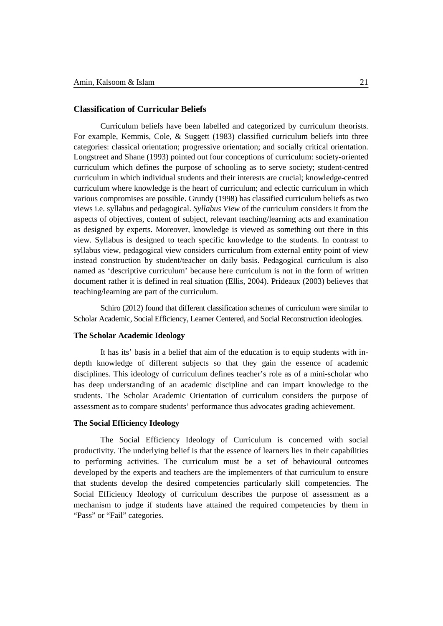## **Classification of Curricular Beliefs**

Curriculum beliefs have been labelled and categorized by curriculum theorists. For example, Kemmis, Cole, & Suggett (1983) classified curriculum beliefs into three categories: classical orientation; progressive orientation; and socially critical orientation. Longstreet and Shane (1993) pointed out four conceptions of curriculum: society-oriented curriculum which defines the purpose of schooling as to serve society; student-centred curriculum in which individual students and their interests are crucial; knowledge-centred curriculum where knowledge is the heart of curriculum; and eclectic curriculum in which various compromises are possible. Grundy (1998) has classified curriculum beliefs as two views i.e. syllabus and pedagogical. *Syllabus View* of the curriculum considers it from the aspects of objectives, content of subject, relevant teaching/learning acts and examination as designed by experts. Moreover, knowledge is viewed as something out there in this view. Syllabus is designed to teach specific knowledge to the students. In contrast to syllabus view, pedagogical view considers curriculum from external entity point of view instead construction by student/teacher on daily basis. Pedagogical curriculum is also named as 'descriptive curriculum' because here curriculum is not in the form of written document rather it is defined in real situation (Ellis, 2004). Prideaux (2003) believes that teaching/learning are part of the curriculum.

Schiro (2012) found that different classification schemes of curriculum were similar to Scholar Academic, Social Efficiency, Learner Centered, and Social Reconstruction ideologies.

#### **The Scholar Academic Ideology**

It has its' basis in a belief that aim of the education is to equip students with indepth knowledge of different subjects so that they gain the essence of academic disciplines. This ideology of curriculum defines teacher's role as of a mini-scholar who has deep understanding of an academic discipline and can impart knowledge to the students. The Scholar Academic Orientation of curriculum considers the purpose of assessment as to compare students' performance thus advocates grading achievement.

## **The Social Efficiency Ideology**

The Social Efficiency Ideology of Curriculum is concerned with social productivity. The underlying belief is that the essence of learners lies in their capabilities to performing activities. The curriculum must be a set of behavioural outcomes developed by the experts and teachers are the implementers of that curriculum to ensure that students develop the desired competencies particularly skill competencies. The Social Efficiency Ideology of curriculum describes the purpose of assessment as a mechanism to judge if students have attained the required competencies by them in "Pass" or "Fail" categories.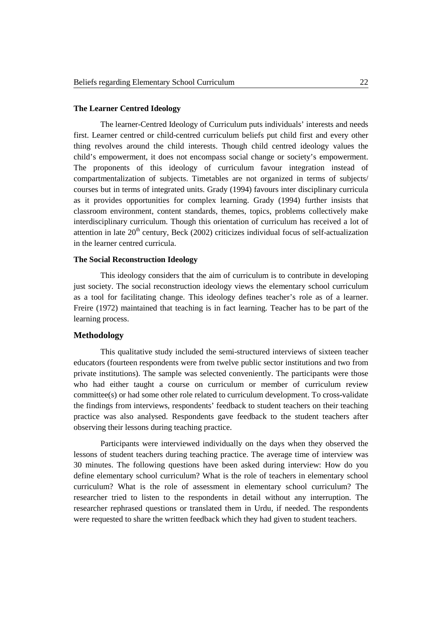#### **The Learner Centred Ideology**

The learner-Centred Ideology of Curriculum puts individuals' interests and needs first. Learner centred or child-centred curriculum beliefs put child first and every other thing revolves around the child interests. Though child centred ideology values the child's empowerment, it does not encompass social change or society's empowerment. The proponents of this ideology of curriculum favour integration instead of compartmentalization of subjects. Timetables are not organized in terms of subjects/ courses but in terms of integrated units. Grady (1994) favours inter disciplinary curricula as it provides opportunities for complex learning. Grady (1994) further insists that classroom environment, content standards, themes, topics, problems collectively make interdisciplinary curriculum. Though this orientation of curriculum has received a lot of attention in late  $20<sup>th</sup>$  century, Beck (2002) criticizes individual focus of self-actualization in the learner centred curricula.

## **The Social Reconstruction Ideology**

This ideology considers that the aim of curriculum is to contribute in developing just society. The social reconstruction ideology views the elementary school curriculum as a tool for facilitating change. This ideology defines teacher's role as of a learner. Freire (1972) maintained that teaching is in fact learning. Teacher has to be part of the learning process.

#### **Methodology**

This qualitative study included the semi-structured interviews of sixteen teacher educators (fourteen respondents were from twelve public sector institutions and two from private institutions). The sample was selected conveniently. The participants were those who had either taught a course on curriculum or member of curriculum review committee(s) or had some other role related to curriculum development. To cross-validate the findings from interviews, respondents' feedback to student teachers on their teaching practice was also analysed. Respondents gave feedback to the student teachers after observing their lessons during teaching practice.

Participants were interviewed individually on the days when they observed the lessons of student teachers during teaching practice. The average time of interview was 30 minutes. The following questions have been asked during interview: How do you define elementary school curriculum? What is the role of teachers in elementary school curriculum? What is the role of assessment in elementary school curriculum? The researcher tried to listen to the respondents in detail without any interruption. The researcher rephrased questions or translated them in Urdu, if needed. The respondents were requested to share the written feedback which they had given to student teachers.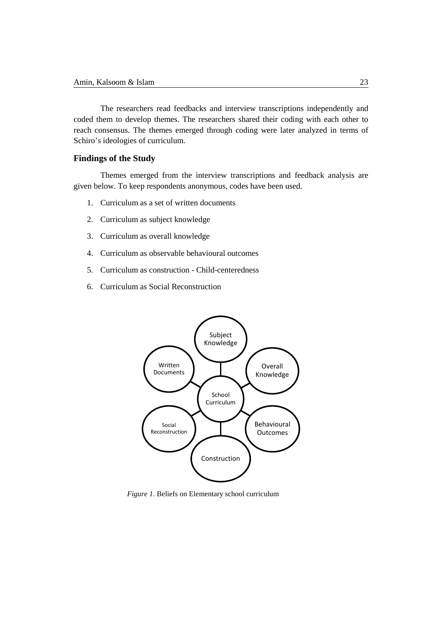The researchers read feedbacks and interview transcriptions independently and coded them to develop themes. The researchers shared their coding with each other to reach consensus. The themes emerged through coding were later analyzed in terms of Schiro's ideologies of curriculum.

# **Findings of the Study**

Themes emerged from the interview transcriptions and feedback analysis are given below. To keep respondents anonymous, codes have been used.

- 1. Curriculum as a set of written documents
- 2. Curriculum as subject knowledge
- 3. Curriculum as overall knowledge
- 4. Curriculum as observable behavioural outcomes
- 5. Curriculum as construction Child-centeredness
- 6. Curriculum as Social Reconstruction



*Figure 1.* Beliefs on Elementary school curriculum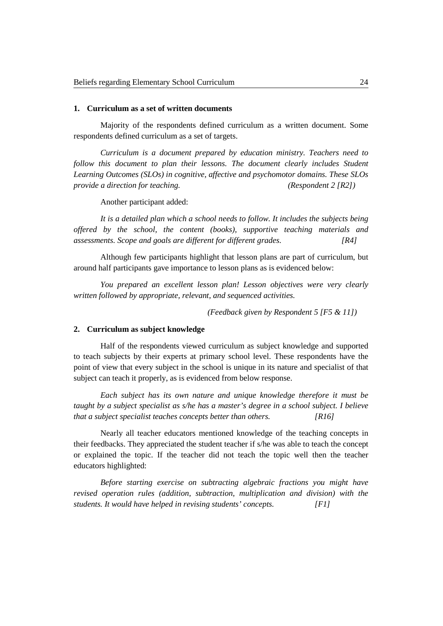#### **1. Curriculum as a set of written documents**

Majority of the respondents defined curriculum as a written document. Some respondents defined curriculum as a set of targets.

*Curriculum is a document prepared by education ministry. Teachers need to follow this document to plan their lessons. The document clearly includes Student Learning Outcomes (SLOs) in cognitive, affective and psychomotor domains. These SLOs provide a direction for teaching. (Respondent 2 [R2])*

Another participant added:

*It is a detailed plan which a school needs to follow. It includes the subjects being offered by the school, the content (books), supportive teaching materials and assessments. Scope and goals are different for different grades. [R4]*

Although few participants highlight that lesson plans are part of curriculum, but around half participants gave importance to lesson plans as is evidenced below:

*You prepared an excellent lesson plan! Lesson objectives were very clearly written followed by appropriate, relevant, and sequenced activities.* 

*(Feedback given by Respondent 5 [F5 & 11])*

#### **2. Curriculum as subject knowledge**

Half of the respondents viewed curriculum as subject knowledge and supported to teach subjects by their experts at primary school level. These respondents have the point of view that every subject in the school is unique in its nature and specialist of that subject can teach it properly, as is evidenced from below response.

*Each subject has its own nature and unique knowledge therefore it must be taught by a subject specialist as s/he has a master's degree in a school subject. I believe that a subject specialist teaches concepts better than others. [R16]*

Nearly all teacher educators mentioned knowledge of the teaching concepts in their feedbacks. They appreciated the student teacher if s/he was able to teach the concept or explained the topic. If the teacher did not teach the topic well then the teacher educators highlighted:

*Before starting exercise on subtracting algebraic fractions you might have revised operation rules (addition, subtraction, multiplication and division) with the students. It would have helped in revising students' concepts. [F1]*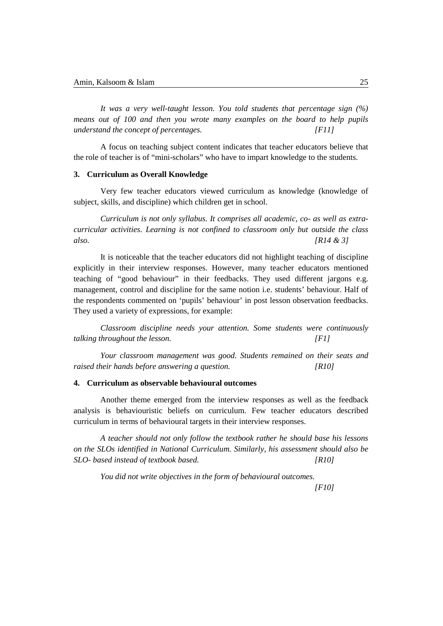*It was a very well-taught lesson. You told students that percentage sign (%) means out of 100 and then you wrote many examples on the board to help pupils understand the concept of percentages. [F11]*

A focus on teaching subject content indicates that teacher educators believe that the role of teacher is of "mini-scholars" who have to impart knowledge to the students.

# **3. Curriculum as Overall Knowledge**

Very few teacher educators viewed curriculum as knowledge (knowledge of subject, skills, and discipline) which children get in school.

*Curriculum is not only syllabus. It comprises all academic, co- as well as extracurricular activities. Learning is not confined to classroom only but outside the class also. [R14 & 3]* 

It is noticeable that the teacher educators did not highlight teaching of discipline explicitly in their interview responses. However, many teacher educators mentioned teaching of "good behaviour" in their feedbacks. They used different jargons e.g. management, control and discipline for the same notion i.e. students' behaviour. Half of the respondents commented on 'pupils' behaviour' in post lesson observation feedbacks. They used a variety of expressions, for example:

*Classroom discipline needs your attention. Some students were continuously talking throughout the lesson. [F1]*

*Your classroom management was good. Students remained on their seats and raised their hands before answering a question. [R10]*

#### **4. Curriculum as observable behavioural outcomes**

Another theme emerged from the interview responses as well as the feedback analysis is behaviouristic beliefs on curriculum. Few teacher educators described curriculum in terms of behavioural targets in their interview responses.

*A teacher should not only follow the textbook rather he should base his lessons on the SLOs identified in National Curriculum. Similarly, his assessment should also be SLO- based instead of textbook based. [R10]*

*You did not write objectives in the form of behavioural outcomes.*

*[F10]*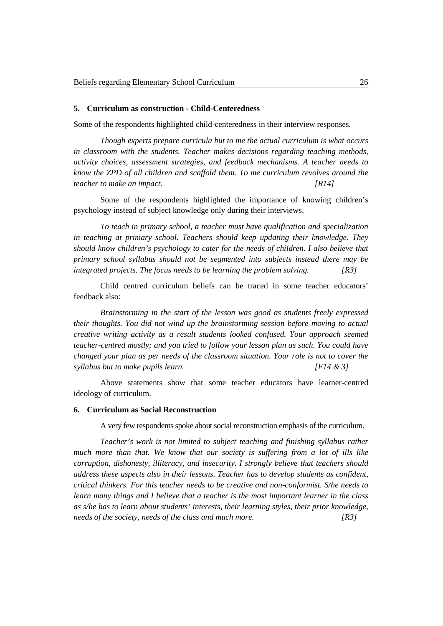#### **5. Curriculum as construction - Child-Centeredness**

Some of the respondents highlighted child-centeredness in their interview responses.

*Though experts prepare curricula but to me the actual curriculum is what occurs in classroom with the students. Teacher makes decisions regarding teaching methods, activity choices, assessment strategies, and feedback mechanisms. A teacher needs to know the ZPD of all children and scaffold them. To me curriculum revolves around the teacher to make an impact. [R14]*

Some of the respondents highlighted the importance of knowing children's psychology instead of subject knowledge only during their interviews.

*To teach in primary school, a teacher must have qualification and specialization in teaching at primary school. Teachers should keep updating their knowledge. They should know children's psychology to cater for the needs of children. I also believe that primary school syllabus should not be segmented into subjects instead there may be integrated projects. The focus needs to be learning the problem solving. [R3]*

Child centred curriculum beliefs can be traced in some teacher educators' feedback also:

*Brainstorming in the start of the lesson was good as students freely expressed their thoughts. You did not wind up the brainstorming session before moving to actual creative writing activity as a result students looked confused. Your approach seemed teacher-centred mostly; and you tried to follow your lesson plan as such. You could have changed your plan as per needs of the classroom situation. Your role is not to cover the syllabus but to make pupils learn. [F14 & 3]*

Above statements show that some teacher educators have learner-centred ideology of curriculum.

#### **6. Curriculum as Social Reconstruction**

A very few respondents spoke about social reconstruction emphasis of the curriculum.

*Teacher's work is not limited to subject teaching and finishing syllabus rather much more than that. We know that our society is suffering from a lot of ills like corruption, dishonesty, illiteracy, and insecurity. I strongly believe that teachers should address these aspects also in their lessons. Teacher has to develop students as confident, critical thinkers. For this teacher needs to be creative and non-conformist. S/he needs to learn many things and I believe that a teacher is the most important learner in the class as s/he has to learn about students' interests, their learning styles, their prior knowledge, needs of the society, needs of the class and much more. [R3]*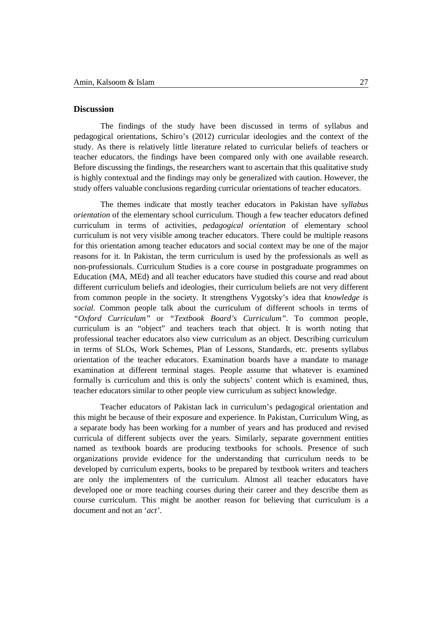## **Discussion**

The findings of the study have been discussed in terms of syllabus and pedagogical orientations, Schiro's (2012) curricular ideologies and the context of the study. As there is relatively little literature related to curricular beliefs of teachers or teacher educators, the findings have been compared only with one available research. Before discussing the findings, the researchers want to ascertain that this qualitative study is highly contextual and the findings may only be generalized with caution. However, the study offers valuable conclusions regarding curricular orientations of teacher educators.

The themes indicate that mostly teacher educators in Pakistan have s*yllabus orientation* of the elementary school curriculum. Though a few teacher educators defined curriculum in terms of activities, *pedagogical orientation* of elementary school curriculum is not very visible among teacher educators. There could be multiple reasons for this orientation among teacher educators and social context may be one of the major reasons for it. In Pakistan, the term curriculum is used by the professionals as well as non-professionals. Curriculum Studies is a core course in postgraduate programmes on Education (MA, MEd) and all teacher educators have studied this course and read about different curriculum beliefs and ideologies, their curriculum beliefs are not very different from common people in the society. It strengthens Vygotsky's idea that *knowledge is social.* Common people talk about the curriculum of different schools in terms of *"Oxford Curriculum"* or *"Textbook Board's Curriculum"*. To common people, curriculum is an "object" and teachers teach that object. It is worth noting that professional teacher educators also view curriculum as an object. Describing curriculum in terms of SLOs, Work Schemes, Plan of Lessons, Standards, etc. presents syllabus orientation of the teacher educators. Examination boards have a mandate to manage examination at different terminal stages. People assume that whatever is examined formally is curriculum and this is only the subjects' content which is examined, thus, teacher educators similar to other people view curriculum as subject knowledge.

Teacher educators of Pakistan lack in curriculum's pedagogical orientation and this might be because of their exposure and experience. In Pakistan, Curriculum Wing, as a separate body has been working for a number of years and has produced and revised curricula of different subjects over the years. Similarly, separate government entities named as textbook boards are producing textbooks for schools. Presence of such organizations provide evidence for the understanding that curriculum needs to be developed by curriculum experts, books to be prepared by textbook writers and teachers are only the implementers of the curriculum. Almost all teacher educators have developed one or more teaching courses during their career and they describe them as course curriculum. This might be another reason for believing that curriculum is a document and not an '*act'*.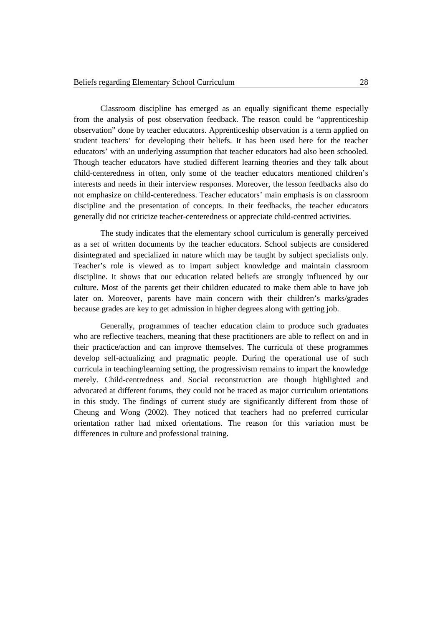Classroom discipline has emerged as an equally significant theme especially from the analysis of post observation feedback. The reason could be "apprenticeship observation" done by teacher educators. Apprenticeship observation is a term applied on student teachers' for developing their beliefs. It has been used here for the teacher educators' with an underlying assumption that teacher educators had also been schooled. Though teacher educators have studied different learning theories and they talk about child-centeredness in often, only some of the teacher educators mentioned children's interests and needs in their interview responses. Moreover, the lesson feedbacks also do not emphasize on child-centeredness. Teacher educators' main emphasis is on classroom discipline and the presentation of concepts. In their feedbacks, the teacher educators generally did not criticize teacher-centeredness or appreciate child-centred activities.

The study indicates that the elementary school curriculum is generally perceived as a set of written documents by the teacher educators. School subjects are considered disintegrated and specialized in nature which may be taught by subject specialists only. Teacher's role is viewed as to impart subject knowledge and maintain classroom discipline. It shows that our education related beliefs are strongly influenced by our culture. Most of the parents get their children educated to make them able to have job later on. Moreover, parents have main concern with their children's marks/grades because grades are key to get admission in higher degrees along with getting job.

Generally, programmes of teacher education claim to produce such graduates who are reflective teachers, meaning that these practitioners are able to reflect on and in their practice/action and can improve themselves. The curricula of these programmes develop self-actualizing and pragmatic people. During the operational use of such curricula in teaching/learning setting, the progressivism remains to impart the knowledge merely. Child-centredness and Social reconstruction are though highlighted and advocated at different forums, they could not be traced as major curriculum orientations in this study. The findings of current study are significantly different from those of Cheung and Wong (2002). They noticed that teachers had no preferred curricular orientation rather had mixed orientations. The reason for this variation must be differences in culture and professional training.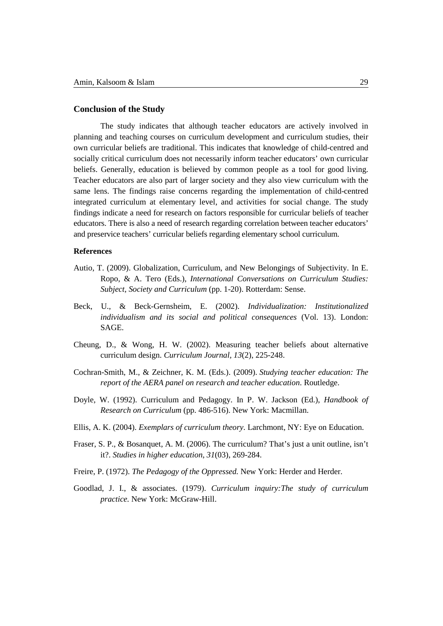## **Conclusion of the Study**

The study indicates that although teacher educators are actively involved in planning and teaching courses on curriculum development and curriculum studies, their own curricular beliefs are traditional. This indicates that knowledge of child-centred and socially critical curriculum does not necessarily inform teacher educators' own curricular beliefs. Generally, education is believed by common people as a tool for good living. Teacher educators are also part of larger society and they also view curriculum with the same lens. The findings raise concerns regarding the implementation of child-centred integrated curriculum at elementary level, and activities for social change. The study findings indicate a need for research on factors responsible for curricular beliefs of teacher educators. There is also a need of research regarding correlation between teacher educators' and preservice teachers' curricular beliefs regarding elementary school curriculum.

#### **References**

- Autio, T. (2009). Globalization, Curriculum, and New Belongings of Subjectivity. In E. Ropo, & A. Tero (Eds.), *International Conversations on Curriculum Studies: Subject, Society and Curriculum* (pp. 1-20). Rotterdam: Sense.
- Beck, U., & Beck-Gernsheim, E. (2002). *Individualization: Institutionalized individualism and its social and political consequences* (Vol. 13). London: SAGE.
- Cheung, D., & Wong, H. W. (2002). Measuring teacher beliefs about alternative curriculum design. *Curriculum Journal, 13*(2), 225-248.
- Cochran-Smith, M., & Zeichner, K. M. (Eds.). (2009). *Studying teacher education: The report of the AERA panel on research and teacher education*. Routledge.
- Doyle, W. (1992). Curriculum and Pedagogy. In P. W. Jackson (Ed.), *Handbook of Research on Curriculum* (pp. 486-516). New York: Macmillan.
- Ellis, A. K. (2004). *Exemplars of curriculum theory.* Larchmont, NY: Eye on Education.
- Fraser, S. P., & Bosanquet, A. M. (2006). The curriculum? That's just a unit outline, isn't it?. *Studies in higher education*, *31*(03), 269-284.
- Freire, P. (1972). *The Pedagogy of the Oppressed*. New York: Herder and Herder.
- Goodlad, J. I., & associates. (1979). *Curriculum inquiry:The study of curriculum practice.* New York: McGraw-Hill.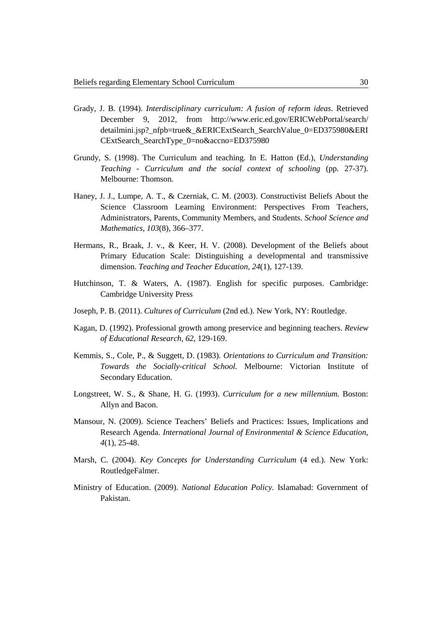- Grady, J. B. (1994). *Interdisciplinary curriculum: A fusion of reform ideas*. Retrieved December 9, 2012, from http://www.eric.ed.gov/ERICWebPortal/search/ detailmini.jsp?\_nfpb=true&\_&ERICExtSearch\_SearchValue\_0=ED375980&ERI CExtSearch\_SearchType\_0=no&accno=ED375980
- Grundy, S. (1998). The Curriculum and teaching. In E. Hatton (Ed.), *Understanding Teaching - Curriculum and the social context of schooling* (pp. 27-37). Melbourne: Thomson.
- Haney, J. J., Lumpe, A. T., & Czerniak, C. M. (2003). Constructivist Beliefs About the Science Classroom Learning Environment: Perspectives From Teachers, Administrators, Parents, Community Members, and Students. *School Science and Mathematics, 103*(8), 366–377.
- Hermans, R., Braak, J. v., & Keer, H. V. (2008). Development of the Beliefs about Primary Education Scale: Distinguishing a developmental and transmissive dimension. *Teaching and Teacher Education, 24*(1), 127-139.
- Hutchinson, T. & Waters, A. (1987). English for specific purposes. Cambridge: Cambridge University Press
- Joseph, P. B. (2011). *Cultures of Curriculum* (2nd ed.). New York, NY: Routledge.
- Kagan, D. (1992). Professional growth among preservice and beginning teachers. *Review of Educational Research, 62*, 129-169.
- Kemmis, S., Cole, P., & Suggett, D. (1983). *Orientations to Curriculum and Transition: Towards the Socially-critical School.* Melbourne: Victorian Institute of Secondary Education.
- Longstreet, W. S., & Shane, H. G. (1993). *Curriculum for a new millennium.* Boston: Allyn and Bacon.
- Mansour, N. (2009). Science Teachers' Beliefs and Practices: Issues, Implications and Research Agenda. *International Journal of Environmental & Science Education, 4*(1), 25-48.
- Marsh, C. (2004). *Key Concepts for Understanding Curriculum* (4 ed.). New York: RoutledgeFalmer.
- Ministry of Education. (2009). *National Education Policy.* Islamabad: Government of Pakistan.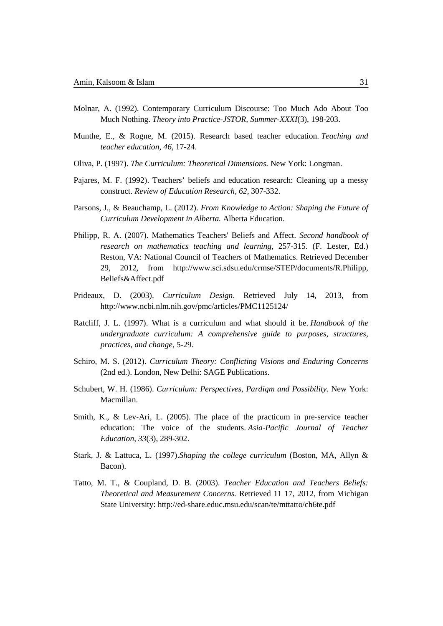- Molnar, A. (1992). Contemporary Curriculum Discourse: Too Much Ado About Too Much Nothing. *Theory into Practice-JSTOR, Summer-XXXI*(3), 198-203.
- Munthe, E., & Rogne, M. (2015). Research based teacher education. *Teaching and teacher education*, *46*, 17-24.
- Oliva, P. (1997). *The Curriculum: Theoretical Dimensions.* New York: Longman.
- Pajares, M. F. (1992). Teachers' beliefs and education research: Cleaning up a messy construct. *Review of Education Research, 62*, 307-332.
- Parsons, J., & Beauchamp, L. (2012). *From Knowledge to Action: Shaping the Future of Curriculum Development in Alberta.* Alberta Education.
- Philipp, R. A. (2007). Mathematics Teachers' Beliefs and Affect. *Second handbook of research on mathematics teaching and learning*, 257-315. (F. Lester, Ed.) Reston, VA: National Council of Teachers of Mathematics. Retrieved December 29, 2012, from http://www.sci.sdsu.edu/crmse/STEP/documents/R.Philipp, Beliefs&Affect.pdf
- Prideaux, D. (2003). *Curriculum Design*. Retrieved July 14, 2013, from http://www.ncbi.nlm.nih.gov/pmc/articles/PMC1125124/
- Ratcliff, J. L. (1997). What is a curriculum and what should it be. *Handbook of the undergraduate curriculum: A comprehensive guide to purposes, structures, practices, and change*, 5-29.
- Schiro, M. S. (2012). *Curriculum Theory: Conflicting Visions and Enduring Concerns* (2nd ed.). London, New Delhi: SAGE Publications.
- Schubert, W. H. (1986). *Curriculum: Perspectives, Pardigm and Possibility.* New York: Macmillan.
- Smith, K., & Lev-Ari, L. (2005). The place of the practicum in pre-service teacher education: The voice of the students. *Asia*‐*Pacific Journal of Teacher Education*, *33*(3), 289-302.
- Stark, J. & Lattuca, L. (1997).*Shaping the college curriculum* (Boston, MA, Allyn & Bacon).
- Tatto, M. T., & Coupland, D. B. (2003). *Teacher Education and Teachers Beliefs: Theoretical and Measurement Concerns.* Retrieved 11 17, 2012, from Michigan State University: http://ed-share.educ.msu.edu/scan/te/mttatto/ch6te.pdf